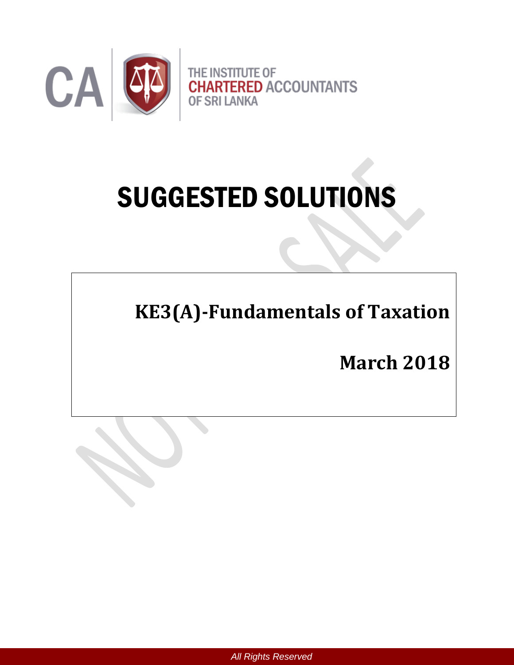

# SUGGESTED SOLUTIONS

**KE3(A)-Fundamentals of Taxation** 

**March 2018**

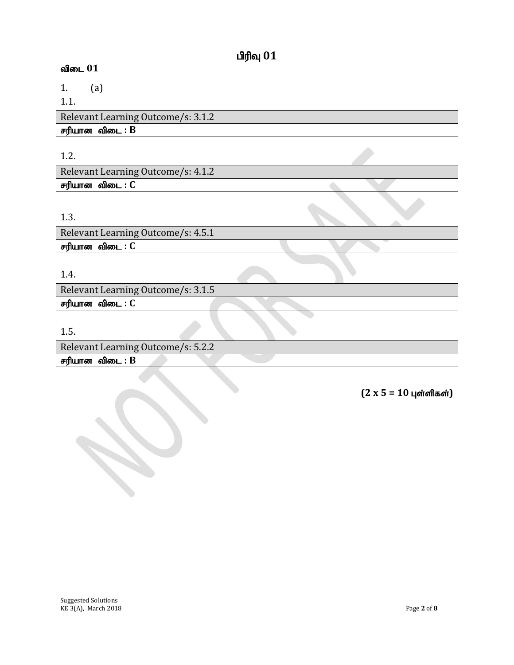# $\mathbf{u}$ ரிவு  $\mathbf{0}\mathbf{1}$

# $\omega$ விடை  $01$

1. (a) 1.1.

Relevant Learning Outcome/s: 3.1.2  $F$ ரியான விடை :  $B$ 

### 1.2.

Relevant Learning Outcome/s: 4.1.2 சரியான விடை : C

# 1.3.

Relevant Learning Outcome/s: 4.5.1 சரியான விடை : C

# 1.4.

Relevant Learning Outcome/s: 3.1.5 சரியான விடை : C

1.5.

Relevant Learning Outcome/s: 5.2.2  $F$ ரியான விடை :  $B$ 

 $(2 x 5 = 10 \text{ J} \cdot \text{J} \cdot \text{J} \cdot \text{J} \cdot \text{J} \cdot \text{J} \cdot \text{J} \cdot \text{J} \cdot \text{J} \cdot \text{J} \cdot \text{J} \cdot \text{J} \cdot \text{J} \cdot \text{J} \cdot \text{J} \cdot \text{J} \cdot \text{J} \cdot \text{J} \cdot \text{J} \cdot \text{J} \cdot \text{J} \cdot \text{J} \cdot \text{J} \cdot \text{J} \cdot \text{J} \cdot \text{J} \cdot \text{J} \cdot \text{J} \cdot \text{J} \cdot \text{J} \cdot$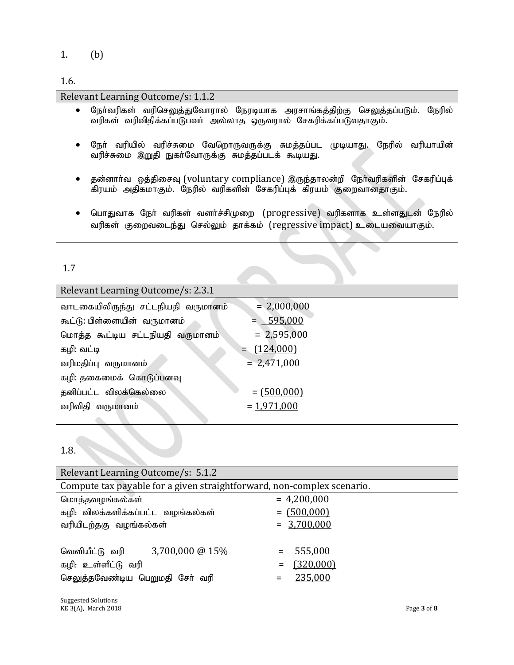1. (b)

## 1.6.

| Relevant Learning Outcome/s: 1.1.2                                                                                                                                   |
|----------------------------------------------------------------------------------------------------------------------------------------------------------------------|
| நோ்வரிகள் வரிசெலுத்துவோரால் நேரடியாக அரசாங்கத்திற்கு செலுத்தப்படும்.<br>நேரில்<br>$\bullet$<br>வரிகள் வரிவிதிக்கப்படுபவர் அல்லாத ஒருவரால் சேகரிக்கப்படுவதாகும்.      |
| நோ் வரியில் வரிச்சுமை வேறொருவருக்கு சுமத்தப்பட முடியாது.<br>நேரில் வரியாயின்<br>$\bullet$<br>வரிச்சுமை இறுதி நுகர்வோருக்கு சுமத்தப்படக் கூடியது.                     |
| தன்னார்வ ஒத்திசைவு (voluntary compliance) இருந்தாலன்றி நேர்வரிகளின் சேகரிப்புக்<br>$\bullet$<br>கிரயம் அதிகமாகும். நேரில் வரிகளின் சேகரிப்புக் கிரயம் குறைவானதாகும். |

 $\bullet$  பொதுவாக நோ் வரிகள் வளா்ச்சிமுறை (progressive) வரிகளாக உள்ளதுடன் நேரில் வரிகள் குறைவடைந்து செல்லும் தாக்கம் (regressive impact) உடையவையாகும்.

# 1.7

| Relevant Learning Outcome/s: 2.3.1 |                 |  |
|------------------------------------|-----------------|--|
| வாடகையிலிருந்து சட்டநியதி வருமானம் | $= 2,000,000$   |  |
| கூட்டு: பிள்ளையின் வருமானம்        | $= 595,000$     |  |
| மொத்த கூட்டிய சட்டநியதி வருமானம்   | $= 2,595,000$   |  |
| கழி: வட்டி                         | $=$ $(124,000)$ |  |
| வரிமதிப்பு வருமானம்                | $= 2,471,000$   |  |
| கழி: தகைமைக் கொடுப்பனவு            |                 |  |
| தனிப்பட்ட விலக்கெல்லை              | $= (500,000)$   |  |
| வரிவிதி வருமானம்                   | $= 1,971,000$   |  |
|                                    |                 |  |

# 1.8.

| Relevant Learning Outcome/s: 5.1.2                                     |                              |  |  |
|------------------------------------------------------------------------|------------------------------|--|--|
| Compute tax payable for a given straightforward, non-complex scenario. |                              |  |  |
| மொத்தவழங்கல்கள்                                                        | $= 4,200,000$                |  |  |
| கழி: விலக்களிக்கப்பட்ட வழங்கல்கள்                                      | $= (500,000)$                |  |  |
| வரியிடற்தகு வழங்கல்கள்                                                 | $= 3,700,000$                |  |  |
|                                                                        |                              |  |  |
| $3,700,000 \ @ \ 15\%$<br>வெளியீட்டு வரி                               | 555,000<br>$\equiv$ $\equiv$ |  |  |
| கழி: உள்ளீட்டு வரி                                                     | (320,000)<br>$=$             |  |  |
| செலுத்தவேண்டிய பெறுமதி சேர் வரி                                        | 235,000                      |  |  |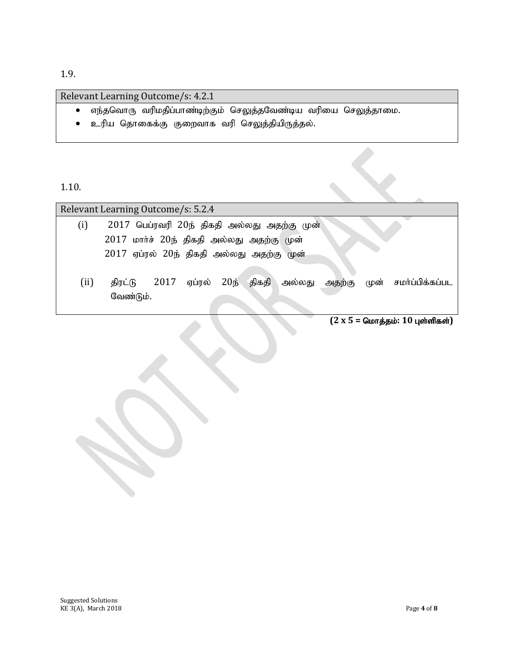1.9.

#### Relevant Learning Outcome/s: 4.2.1

- $\bullet$  எந்தவொரு வரிமதிப்பாண்டிற்கும் செலுத்தவேண்டிய வரியை செலுத்தாமை.
- $\bullet$  உரிய தொகைக்கு குறைவாக வரி செலுத்தியிருத்தல்.

1.10.

| Relevant Learning Outcome/s: 5.2.4        |                                                                               |  |  |
|-------------------------------------------|-------------------------------------------------------------------------------|--|--|
| (i)                                       | 2017 பெப்ரவரி 20ந் திகதி அல்லது அதற்கு முன்                                   |  |  |
|                                           | 2017 மார்ச் 20ந் திகதி அல்லது அதற்கு முன்                                     |  |  |
| 2017 ஏப்ரல் 20ந் திகதி அல்லது அதற்கு முன் |                                                                               |  |  |
|                                           |                                                                               |  |  |
| (ii)                                      | ஏப்ரல் 20ந் திகதி<br>அல்லது அதற்கு<br>முன் சமா்ப்பிக்கப்பட<br>2017<br>திரட்டு |  |  |
|                                           | வேண்டும்.                                                                     |  |  |

 $(2 \times 5 =$  மொத்தம்: 10 புள்ளிகள்)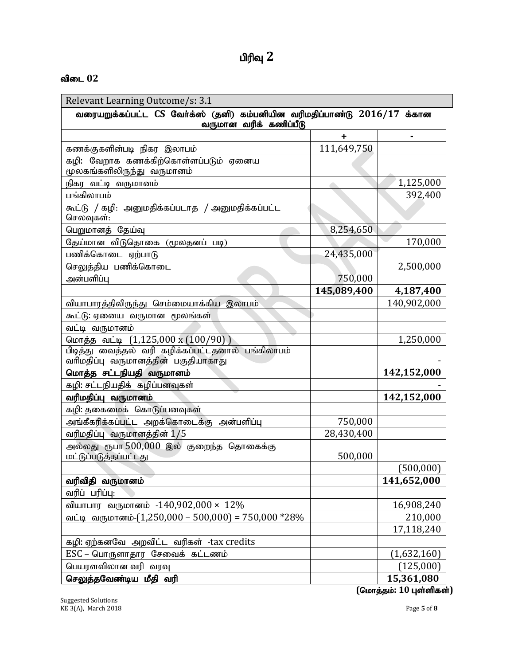| பிரிவு |  |
|--------|--|
|--------|--|

#### விடை 02

| Relevant Learning Outcome/s: 3.1                                                                   |             |             |  |
|----------------------------------------------------------------------------------------------------|-------------|-------------|--|
| வரையறுக்கப்பட்ட CS வேர்க்ஸ் (தனி) கம்பனியின வரிமதிப்பாண்டு 2016/17 க்கான<br>வருமான வரிக் கணிப்பீடு |             |             |  |
|                                                                                                    | ٠           |             |  |
| கணக்குகளின்படி நிகர இலாபம்                                                                         | 111,649,750 |             |  |
| கழி: வேறாக கணக்கிற்கொள்ளப்படும் ஏனைய<br>மூலகங்களிலிருந்து வருமானம்                                 |             |             |  |
| நிகர வட்டி வருமானம்                                                                                |             | 1,125,000   |  |
| பங்கிலாபம்                                                                                         |             | 392,400     |  |
| கூட்டு / கழி: அனுமதிக்கப்படாத / அனுமதிக்கப்பட்ட<br>செலவுகள்:                                       |             |             |  |
| பெறுமானத் தேய்வு                                                                                   | 8,254,650   |             |  |
| தேய்மான விடுதொகை (மூலதனப் படி)                                                                     |             | 170,000     |  |
| பணிக்கொடை ஏற்பாடு                                                                                  | 24,435,000  |             |  |
| செலுத்திய பணிக்கொடை                                                                                |             | 2,500,000   |  |
| அன்பளிப்பு                                                                                         | 750,000     |             |  |
|                                                                                                    | 145,089,400 | 4,187,400   |  |
| வியாபாரத்திலிருந்து செம்மையாக்கிய இலாபம்                                                           |             | 140,902,000 |  |
| கூட்டு: ஏனைய வருமான மூலங்கள்                                                                       |             |             |  |
| வட்டி வருமானம்                                                                                     |             |             |  |
| மொத்த வட்டி (1,125,000 x (100/90))                                                                 |             | 1,250,000   |  |
| <u>பிடித்து வைத்தல் வரி கழிக்கப்பட்டதனால் பங்கிலாபம்</u><br>வரிமதிப்பு வருமானத்தின் பகுதியாகாது    |             |             |  |
| மொத்த சட்டநியதி வருமானம்                                                                           |             | 142,152,000 |  |
| கழி: சட்டநியதிக் கழிப்பனவுகள்                                                                      |             |             |  |
| வரிமதிப்பு வருமானம்                                                                                |             | 142,152,000 |  |
| கழி: தகைமைக் கொடுப்பனவுகள்                                                                         |             |             |  |
| அங்கீகரிக்கப்பட்ட அறக்கொடைக்கு அன்பளிப்பு                                                          | 750,000     |             |  |
| வரிமதிப்பு வருமானத்தின் 1/5                                                                        | 28,430,400  |             |  |
| அல்லது ரூபா 500,000 இல் குறைந்த தொகைக்கு<br>மட்டுப்படுத்தப்பட்டது                                  | 500,000     |             |  |
|                                                                                                    |             | (500,000)   |  |
| வரிவிதி வருமானம்                                                                                   |             | 141,652,000 |  |
| வரிப் பரிப்பு:                                                                                     |             |             |  |
| வியாபார வருமானம் -140,902,000 × 12%                                                                |             | 16,908,240  |  |
| வட்டி வருமானம்- $(1,250,000 - 500,000) = 750,000 * 28\%$                                           |             | 210,000     |  |
|                                                                                                    |             | 17,118,240  |  |
| கழி: ஏற்கனவே அறவிட்ட வரிகள் -tax credits                                                           |             |             |  |
| $\text{ESC}$ – பொருளாதார சேவைக் கட்டணம்                                                            |             | (1,632,160) |  |
| பெயரளவிலான வரி வரவு                                                                                |             | (125,000)   |  |
| செலுத்தவேண்டிய மீதி வரி                                                                            |             | 15,361,080  |  |

 $\overline{(G\nu\sigma\phi)}$ தம்: 10 புள்ளிகள்)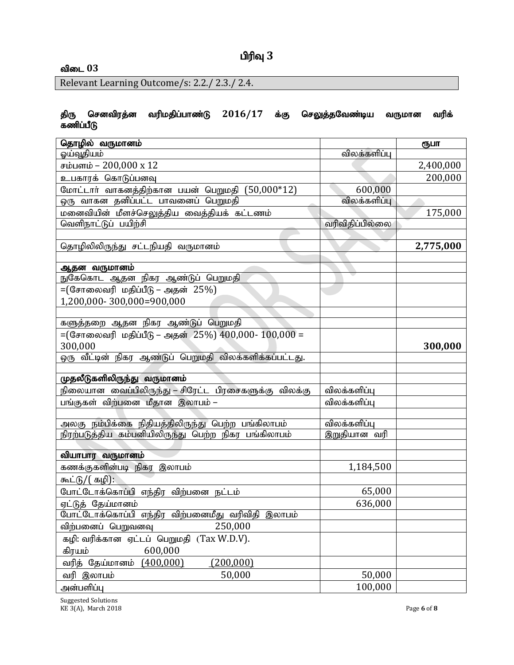# விடை 03

Relevant Learning Outcome/s: 2.2./ 2.3./ 2.4.

#### திரு செனவிரத்ன வரிமதிப்பாண்டு 2016/17 க்கு செலுத்தவேண்டிய வருமான வரிக் கணிப்பீடு

| தொழில் வருமானம்                                          |                 | ரூபா      |
|----------------------------------------------------------|-----------------|-----------|
| ஓய்வூதியம்                                               | விலக்களிப்பு    |           |
| சம்பளம் – 200,000 x 12                                   |                 | 2,400,000 |
| உபகாரக் கொடுப்பனவு                                       |                 | 200,000   |
| மோட்டார் வாகனத்திற்கான பயன் பெறுமதி (50,000*12)          | 600,000         |           |
| ஒரு வாகன தனிப்பட்ட பாவனைப் பெறுமதி                       | விலக்களிப்பு    |           |
| மனைவியின் மீளச்செலுத்திய வைத்தியக் கட்டணம்               |                 | 175,000   |
| வெளிநாட்டுப் பயிற்சி                                     | வரிவிதிப்பில்லை |           |
|                                                          |                 |           |
| தொழிலிலிருந்து சட்டநியதி வருமானம்                        |                 | 2,775,000 |
|                                                          |                 |           |
| ஆதன வருமானம்                                             |                 |           |
| நுகேகொட ஆதன நிகர ஆண்டுப் பெறுமதி                         |                 |           |
| =(சோலைவரி மதிப்பீடு – அதன் 25%)                          |                 |           |
| 1,200,000-300,000=900,000                                |                 |           |
|                                                          |                 |           |
| களுத்தறை ஆதன நிகர ஆண்டுப் பெறுமதி                        |                 |           |
| = $($ சோலைவரி மதிப்பீடு – அதன் 25%) 400,000- 100,000 =   |                 |           |
| 300,000                                                  |                 | 300,000   |
| ஒரு வீட்டின் நிகர ஆண்டுப் பெறுமதி விலக்களிக்கப்பட்டது.   |                 |           |
| முதலீடுகளிலிருந்து வருமானம்                              |                 |           |
| நிலையான வைப்பிலிருந்து – சிரேட்ட பிரசைகளுக்கு விலக்கு    | விலக்களிப்பு    |           |
| பங்குகள் விற்பனை மீதான இலாபம் –                          | விலக்களிப்பு    |           |
|                                                          |                 |           |
| அலகு நம்பிக்கை நிதியத்திலிருந்து பெற்ற பங்கிலாபம்        | விலக்களிப்பு    |           |
| நிரற்படுத்திய கம்பனியிலிருந்து பெற்ற நிகர பங்கிலாபம்     | இறுதியான வரி    |           |
|                                                          |                 |           |
| வியாபார வருமானம்                                         |                 |           |
| கணக்குகளின்படி நிகர இலாபம்                               | 1,184,500       |           |
| கூட்டு/( கழி):                                           |                 |           |
| போட்டோக்கொப்பி எந்திர விற்பனை நட்டம்                     | 65,000          |           |
| <u>ஏட்டுத் தேய்மான</u> ம்                                | 636,000         |           |
| .<br>போட்டோக்கொப்பி எந்திர விற்பனைமீது வரிவிதி<br>இலாபம் |                 |           |
| 250,000<br>விற்பனைப் பெறுவனவு                            |                 |           |
| (Tax W.D.V).<br>கழி: வரிக்கான ஏட்டப் பெறுமதி             |                 |           |
| கிரயம்<br>600,000                                        |                 |           |
| வரித் தேய்மானம்<br>(400,000)<br>(200,000)                |                 |           |
| 50,000<br>வரி இலாபம்                                     | 50,000          |           |
| அன்பளிப்பு                                               | 100,000         |           |

Suggested Solutions KE 3(A), March 2018 Page **6** of **8**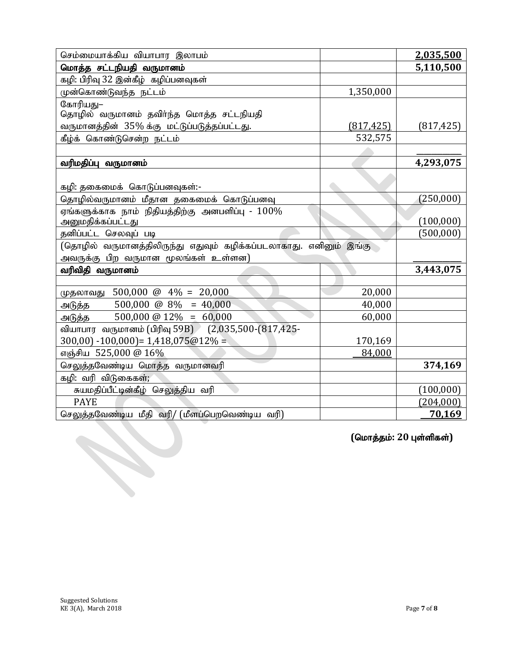| செம்மையாக்கிய வியாபார இலாபம்                                       |            | 2,035,500               |
|--------------------------------------------------------------------|------------|-------------------------|
| மொத்த சட்டநியதி வருமானம்                                           |            | 5,110,500               |
| கழி: பிரிவு 32 இன்கீழ் கழிப்பனவுகள்                                |            |                         |
| முன்கொண்டுவந்த நட்டம்                                              | 1,350,000  |                         |
| கோரியது–                                                           |            |                         |
| தொழில் வருமானம் தவிர்ந்த மொத்த சட்டநியதி                           |            |                         |
| வருமானத்தின் 35% க்கு மட்டுப்படுத்தப்பட்டது.                       | (817, 425) | (817, 425)              |
| கீழ்க் கொண்டுசென்ற நட்டம்                                          | 532,575    |                         |
|                                                                    |            |                         |
| வரிமதிப்பு வருமானம்                                                |            | 4,293,075               |
|                                                                    |            |                         |
| கழி: தகைமைக் கொடுப்பனவுகள்:-                                       |            |                         |
| தொழில்வருமானம் மீதான தகைமைக் கொடுப்பனவு                            |            | (250, 000)              |
| ஏங்களுக்காக நாம் நிதியத்திற்கு அனபளிப்பு - $100\%$                 |            |                         |
| அனுமதிக்கப்பட்டது                                                  |            | (100,000)               |
| தனிப்பட்ட செலவுப் படி                                              |            | (500,000)               |
| (தொழில் வருமானத்திலிருந்து எதுவும் கழிக்கப்படலாகாது. எனினும் இங்கு |            |                         |
| அவருக்கு பிற வருமான மூலங்கள் உள்ளன)                                |            |                         |
| வரிவிதி வருமானம்                                                   |            | 3,443,075               |
|                                                                    |            |                         |
| முதலாவது 500,000 @ 4% = 20,000                                     | 20,000     |                         |
| $500,000 \ @ \ 8\% = 40,000$<br>அடுத்த                             | 40,000     |                         |
| 500,000 @ $12\% = 60,000$<br>அடுத்த                                | 60,000     |                         |
| வியாபார வருமானம் (பிரிவு 59B) (2,035,500-(817,425-                 |            |                         |
| $300,00$ -100,000) = 1,418,075@12% =                               | 170,169    |                         |
| எஞ்சிய 525,000 @ 16%                                               | 84,000     |                         |
| செலுத்தவேண்டிய மொத்த வருமானவரி                                     |            | 374,169                 |
| கழி: வரி விடுகைகள்;                                                |            |                         |
| சுயமதிப்பீட்டின்கீழ் செலுத்திய வரி                                 |            | (100,000)               |
| <b>PAYE</b>                                                        |            | (204,000)               |
| செலுத்தவேண்டிய மீதி வரி/ (மீளப்பெறவெண்டிய வரி)                     |            | 70,169                  |
|                                                                    |            |                         |
|                                                                    |            | (மொத்தம்: 20 புள்ளிகள்) |
|                                                                    |            |                         |
|                                                                    |            |                         |
|                                                                    |            |                         |
|                                                                    |            |                         |
|                                                                    |            |                         |